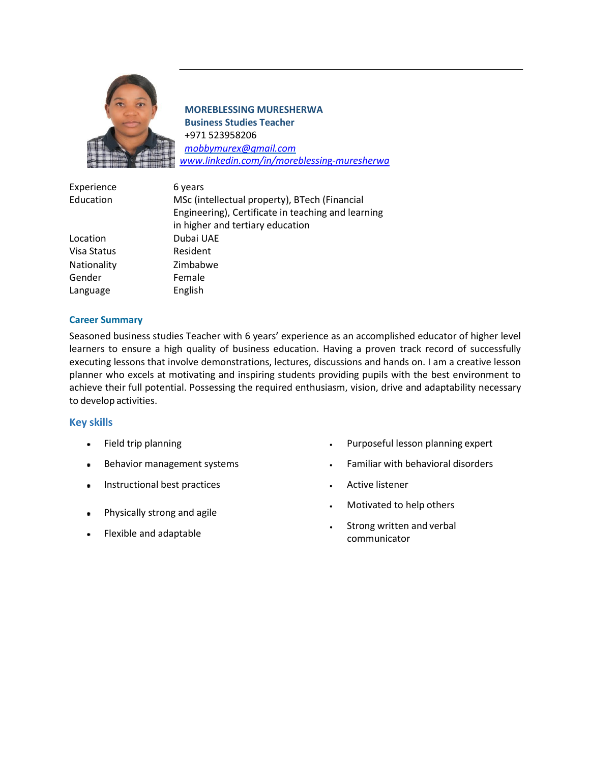

**MOREBLESSING MURESHERWA Business Studies Teacher** +971 523958206 *[mobbymurex@gmail.com](mailto:mobbymurex@gmail.com) [www.linkedin.com/in/moreblessin](http://www.linkedin.com/in/moreblessing-muresherwa)*g-*muresherwa*

| Experience  | 6 years                                            |
|-------------|----------------------------------------------------|
| Education   | MSc (intellectual property), BTech (Financial      |
|             | Engineering), Certificate in teaching and learning |
|             | in higher and tertiary education                   |
| Location    | Dubai UAE                                          |
| Visa Status | Resident                                           |
| Nationality | Zimbabwe                                           |
| Gender      | Female                                             |
| Language    | English                                            |

#### **Career Summary**

Seasoned business studies Teacher with 6 years' experience as an accomplished educator of higher level learners to ensure a high quality of business education. Having a proven track record of successfully executing lessons that involve demonstrations, lectures, discussions and hands on. I am a creative lesson planner who excels at motivating and inspiring students providing pupils with the best environment to achieve their full potential. Possessing the required enthusiasm, vision, drive and adaptability necessary to develop activities.

## **Key skills**

- Field trip planning  $\bullet$
- Behavior management systems  $\bullet$
- **Instructional best practices**
- Physically strong and agile
- Flexible and adaptable
- Purposeful lesson planning expert
- Familiar with behavioral disorders
- Active listener
- Motivated to help others
- Strong written and verbal communicator